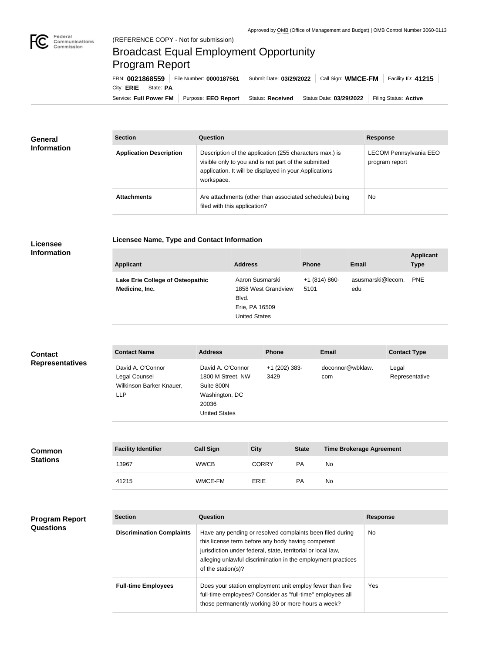

## Broadcast Equal Employment Opportunity Program Report

**Licensee Name, Type and Contact Information**

Service: Full Power FM Purpose: EEO Report | Status: Received | Status Date: 03/29/2022 | Filing Status: Active City: **ERIE** | State: **PA** FRN: **0021868559** File Number: **0000187561** Submit Date: **03/29/2022** Call Sign: **WMCE-FM** Facility ID: **41215**

| <b>General</b><br><b>Information</b> | <b>Section</b>                 | <b>Question</b>                                                                                                                                                                         | <b>Response</b>                                 |
|--------------------------------------|--------------------------------|-----------------------------------------------------------------------------------------------------------------------------------------------------------------------------------------|-------------------------------------------------|
|                                      | <b>Application Description</b> | Description of the application (255 characters max.) is<br>visible only to you and is not part of the submitted<br>application. It will be displayed in your Applications<br>workspace. | <b>LECOM Pennsylvania EEO</b><br>program report |
|                                      | <b>Attachments</b>             | Are attachments (other than associated schedules) being<br>filed with this application?                                                                                                 | <b>No</b>                                       |

## **Licensee Information**

| <b>Applicant</b>                                   | <b>Address</b>                                                                            | <b>Phone</b>          | Email                    | <b>Applicant</b><br><b>Type</b> |
|----------------------------------------------------|-------------------------------------------------------------------------------------------|-----------------------|--------------------------|---------------------------------|
| Lake Erie College of Osteopathic<br>Medicine, Inc. | Aaron Susmarski<br>1858 West Grandview<br>Blvd.<br>Erie, PA 16509<br><b>United States</b> | +1 (814) 860-<br>5101 | asusmarski@lecom.<br>edu | <b>PNE</b>                      |

| <b>Contact</b>         | <b>Contact Name</b>                                                          | <b>Address</b>                                                                                          | <b>Phone</b>            | <b>Email</b>            | <b>Contact Type</b>     |
|------------------------|------------------------------------------------------------------------------|---------------------------------------------------------------------------------------------------------|-------------------------|-------------------------|-------------------------|
| <b>Representatives</b> | David A. O'Connor<br>Legal Counsel<br>Wilkinson Barker Knauer,<br><b>LLP</b> | David A. O'Connor<br>1800 M Street, NW<br>Suite 800N<br>Washington, DC<br>20036<br><b>United States</b> | $+1$ (202) 383-<br>3429 | doconnor@wbklaw.<br>com | Legal<br>Representative |

| <b>Common</b><br><b>Stations</b> | <b>Facility Identifier</b> | <b>Call Sign</b> | City         | <b>State</b> | <b>Time Brokerage Agreement</b> |
|----------------------------------|----------------------------|------------------|--------------|--------------|---------------------------------|
|                                  | 13967                      | <b>WWCB</b>      | <b>CORRY</b> | <b>PA</b>    | No                              |
|                                  | 41215                      | WMCE-FM          | <b>ERIE</b>  | <b>PA</b>    | No                              |

| <b>Program Report</b><br><b>Questions</b> | <b>Section</b>                   | Question                                                                                                                                                                                                                                                              | <b>Response</b> |
|-------------------------------------------|----------------------------------|-----------------------------------------------------------------------------------------------------------------------------------------------------------------------------------------------------------------------------------------------------------------------|-----------------|
|                                           | <b>Discrimination Complaints</b> | Have any pending or resolved complaints been filed during<br>this license term before any body having competent<br>jurisdiction under federal, state, territorial or local law,<br>alleging unlawful discrimination in the employment practices<br>of the station(s)? | No.             |
|                                           | <b>Full-time Employees</b>       | Does your station employment unit employ fewer than five<br>full-time employees? Consider as "full-time" employees all<br>those permanently working 30 or more hours a week?                                                                                          | Yes             |